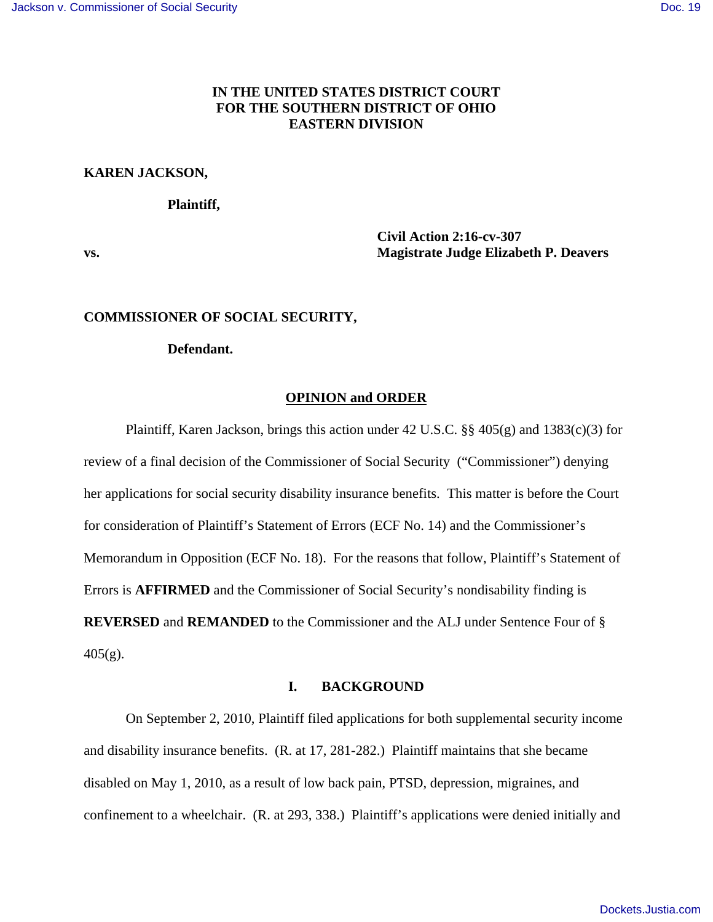# **IN THE UNITED STATES DISTRICT COURT FOR THE SOUTHERN DISTRICT OF OHIO EASTERN DIVISION**

## **KAREN JACKSON,**

#### **Plaintiff,**

 **Civil Action 2:16-cv-307 vs. Magistrate Judge Elizabeth P. Deavers** 

### **COMMISSIONER OF SOCIAL SECURITY,**

#### **Defendant.**

### **OPINION and ORDER**

 Plaintiff, Karen Jackson, brings this action under 42 U.S.C. §§ 405(g) and 1383(c)(3) for review of a final decision of the Commissioner of Social Security ("Commissioner") denying her applications for social security disability insurance benefits. This matter is before the Court for consideration of Plaintiff's Statement of Errors (ECF No. 14) and the Commissioner's Memorandum in Opposition (ECF No. 18). For the reasons that follow, Plaintiff's Statement of Errors is **AFFIRMED** and the Commissioner of Social Security's nondisability finding is **REVERSED** and **REMANDED** to the Commissioner and the ALJ under Sentence Four of §  $405(g)$ .

## **I. BACKGROUND**

 On September 2, 2010, Plaintiff filed applications for both supplemental security income and disability insurance benefits. (R. at 17, 281-282.) Plaintiff maintains that she became disabled on May 1, 2010, as a result of low back pain, PTSD, depression, migraines, and confinement to a wheelchair. (R. at 293, 338.) Plaintiff's applications were denied initially and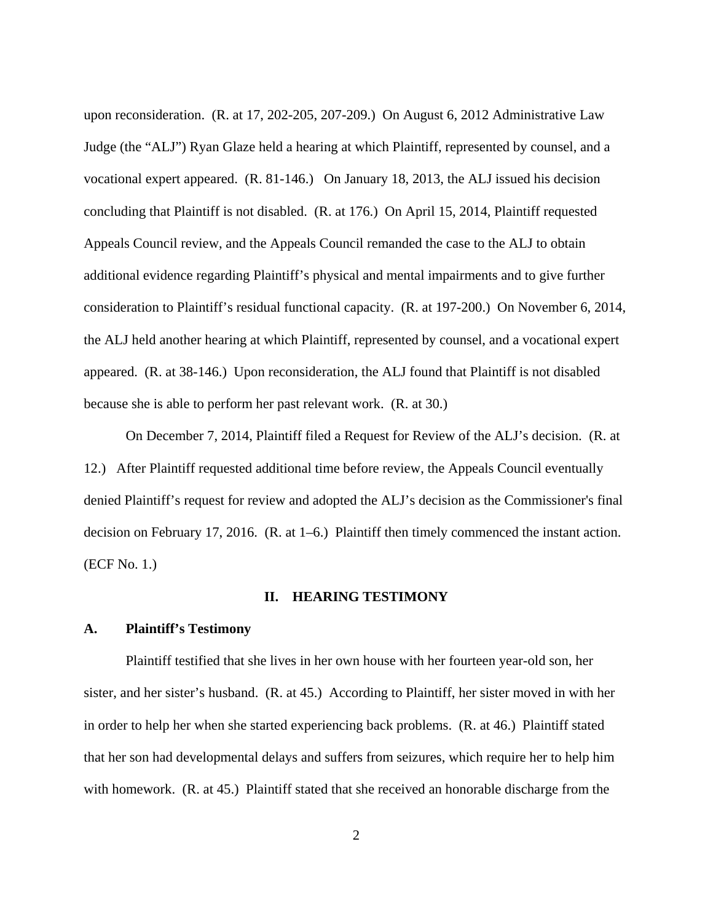upon reconsideration. (R. at 17, 202-205, 207-209.) On August 6, 2012 Administrative Law Judge (the "ALJ") Ryan Glaze held a hearing at which Plaintiff, represented by counsel, and a vocational expert appeared. (R. 81-146.) On January 18, 2013, the ALJ issued his decision concluding that Plaintiff is not disabled. (R. at 176.) On April 15, 2014, Plaintiff requested Appeals Council review, and the Appeals Council remanded the case to the ALJ to obtain additional evidence regarding Plaintiff's physical and mental impairments and to give further consideration to Plaintiff's residual functional capacity. (R. at 197-200.) On November 6, 2014, the ALJ held another hearing at which Plaintiff, represented by counsel, and a vocational expert appeared. (R. at 38-146.) Upon reconsideration, the ALJ found that Plaintiff is not disabled because she is able to perform her past relevant work. (R. at 30.)

 On December 7, 2014, Plaintiff filed a Request for Review of the ALJ's decision. (R. at 12.) After Plaintiff requested additional time before review, the Appeals Council eventually denied Plaintiff's request for review and adopted the ALJ's decision as the Commissioner's final decision on February 17, 2016. (R. at 1–6.) Plaintiff then timely commenced the instant action. (ECF No. 1.)

### **II. HEARING TESTIMONY**

#### **A. Plaintiff's Testimony**

Plaintiff testified that she lives in her own house with her fourteen year-old son, her sister, and her sister's husband. (R. at 45.) According to Plaintiff, her sister moved in with her in order to help her when she started experiencing back problems. (R. at 46.) Plaintiff stated that her son had developmental delays and suffers from seizures, which require her to help him with homework. (R. at 45.) Plaintiff stated that she received an honorable discharge from the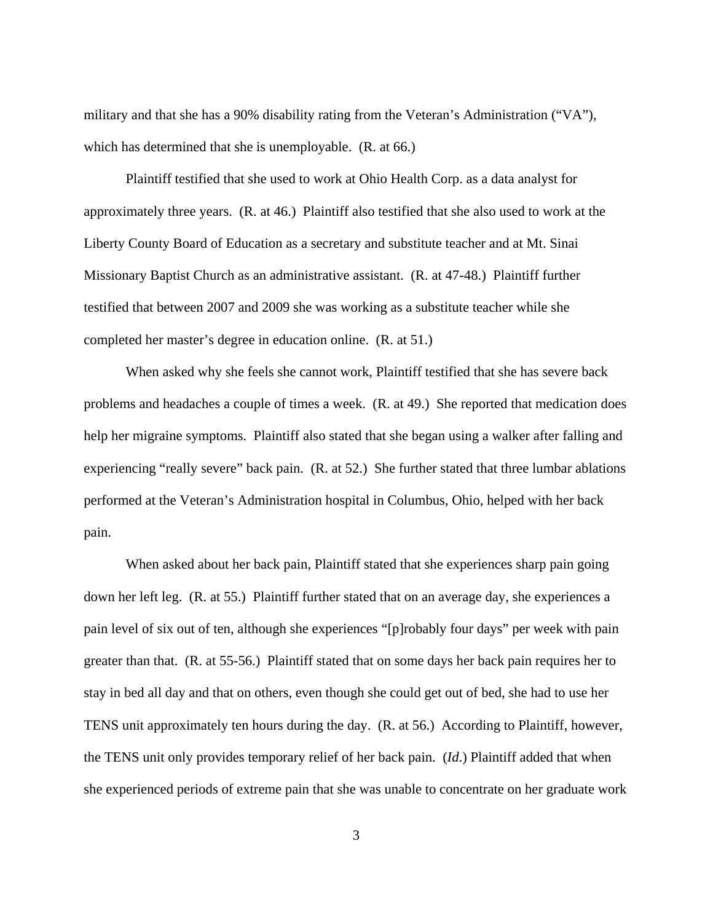military and that she has a 90% disability rating from the Veteran's Administration ("VA"), which has determined that she is unemployable. (R. at 66.)

 Plaintiff testified that she used to work at Ohio Health Corp. as a data analyst for approximately three years. (R. at 46.) Plaintiff also testified that she also used to work at the Liberty County Board of Education as a secretary and substitute teacher and at Mt. Sinai Missionary Baptist Church as an administrative assistant. (R. at 47-48.) Plaintiff further testified that between 2007 and 2009 she was working as a substitute teacher while she completed her master's degree in education online. (R. at 51.)

 When asked why she feels she cannot work, Plaintiff testified that she has severe back problems and headaches a couple of times a week. (R. at 49.) She reported that medication does help her migraine symptoms. Plaintiff also stated that she began using a walker after falling and experiencing "really severe" back pain. (R. at 52.) She further stated that three lumbar ablations performed at the Veteran's Administration hospital in Columbus, Ohio, helped with her back pain.

 When asked about her back pain, Plaintiff stated that she experiences sharp pain going down her left leg. (R. at 55.) Plaintiff further stated that on an average day, she experiences a pain level of six out of ten, although she experiences "[p]robably four days" per week with pain greater than that. (R. at 55-56.) Plaintiff stated that on some days her back pain requires her to stay in bed all day and that on others, even though she could get out of bed, she had to use her TENS unit approximately ten hours during the day. (R. at 56.) According to Plaintiff, however, the TENS unit only provides temporary relief of her back pain. (*Id*.) Plaintiff added that when she experienced periods of extreme pain that she was unable to concentrate on her graduate work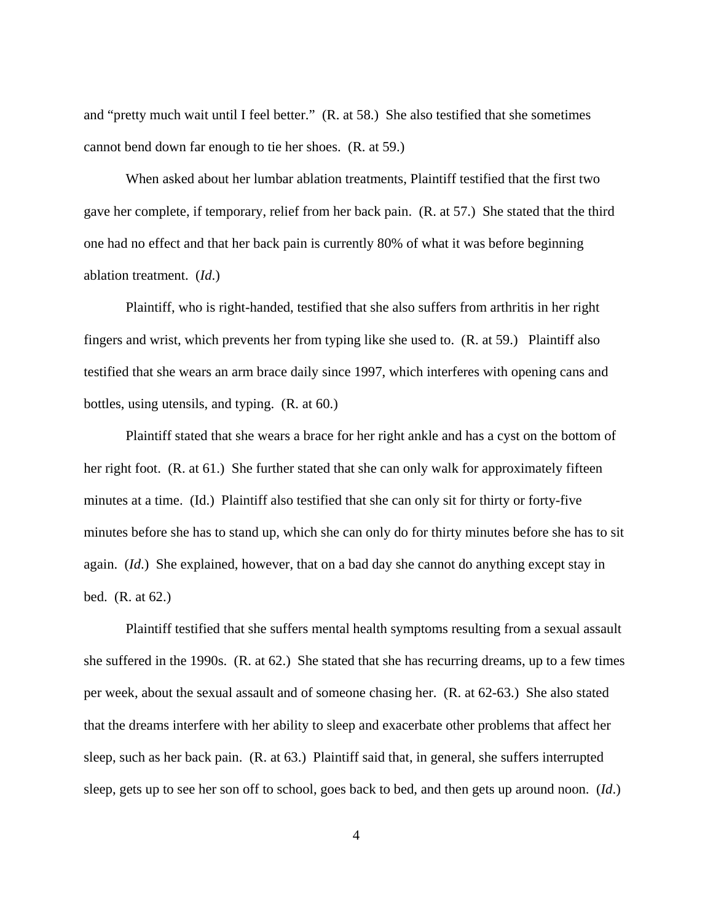and "pretty much wait until I feel better." (R. at 58.) She also testified that she sometimes cannot bend down far enough to tie her shoes. (R. at 59.)

 When asked about her lumbar ablation treatments, Plaintiff testified that the first two gave her complete, if temporary, relief from her back pain. (R. at 57.) She stated that the third one had no effect and that her back pain is currently 80% of what it was before beginning ablation treatment. (*Id*.)

 Plaintiff, who is right-handed, testified that she also suffers from arthritis in her right fingers and wrist, which prevents her from typing like she used to. (R. at 59.) Plaintiff also testified that she wears an arm brace daily since 1997, which interferes with opening cans and bottles, using utensils, and typing. (R. at 60.)

 Plaintiff stated that she wears a brace for her right ankle and has a cyst on the bottom of her right foot. (R. at 61.) She further stated that she can only walk for approximately fifteen minutes at a time. (Id.) Plaintiff also testified that she can only sit for thirty or forty-five minutes before she has to stand up, which she can only do for thirty minutes before she has to sit again. (*Id*.) She explained, however, that on a bad day she cannot do anything except stay in bed. (R. at 62.)

 Plaintiff testified that she suffers mental health symptoms resulting from a sexual assault she suffered in the 1990s. (R. at 62.) She stated that she has recurring dreams, up to a few times per week, about the sexual assault and of someone chasing her. (R. at 62-63.) She also stated that the dreams interfere with her ability to sleep and exacerbate other problems that affect her sleep, such as her back pain. (R. at 63.) Plaintiff said that, in general, she suffers interrupted sleep, gets up to see her son off to school, goes back to bed, and then gets up around noon. (*Id*.)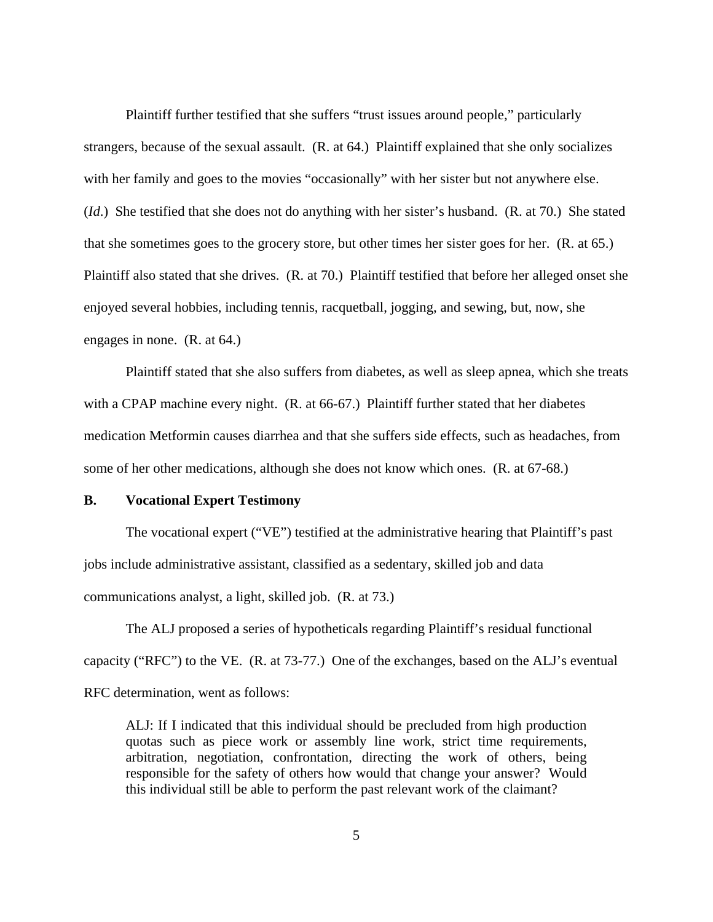Plaintiff further testified that she suffers "trust issues around people," particularly strangers, because of the sexual assault. (R. at 64.) Plaintiff explained that she only socializes with her family and goes to the movies "occasionally" with her sister but not anywhere else. (*Id*.) She testified that she does not do anything with her sister's husband. (R. at 70.) She stated that she sometimes goes to the grocery store, but other times her sister goes for her. (R. at 65.) Plaintiff also stated that she drives. (R. at 70.) Plaintiff testified that before her alleged onset she enjoyed several hobbies, including tennis, racquetball, jogging, and sewing, but, now, she engages in none. (R. at 64.)

 Plaintiff stated that she also suffers from diabetes, as well as sleep apnea, which she treats with a CPAP machine every night. (R. at 66-67.) Plaintiff further stated that her diabetes medication Metformin causes diarrhea and that she suffers side effects, such as headaches, from some of her other medications, although she does not know which ones. (R. at 67-68.)

# **B. Vocational Expert Testimony**

 The vocational expert ("VE") testified at the administrative hearing that Plaintiff's past jobs include administrative assistant, classified as a sedentary, skilled job and data communications analyst, a light, skilled job. (R. at 73.)

 The ALJ proposed a series of hypotheticals regarding Plaintiff's residual functional capacity ("RFC") to the VE. (R. at 73-77.) One of the exchanges, based on the ALJ's eventual RFC determination, went as follows:

ALJ: If I indicated that this individual should be precluded from high production quotas such as piece work or assembly line work, strict time requirements, arbitration, negotiation, confrontation, directing the work of others, being responsible for the safety of others how would that change your answer? Would this individual still be able to perform the past relevant work of the claimant?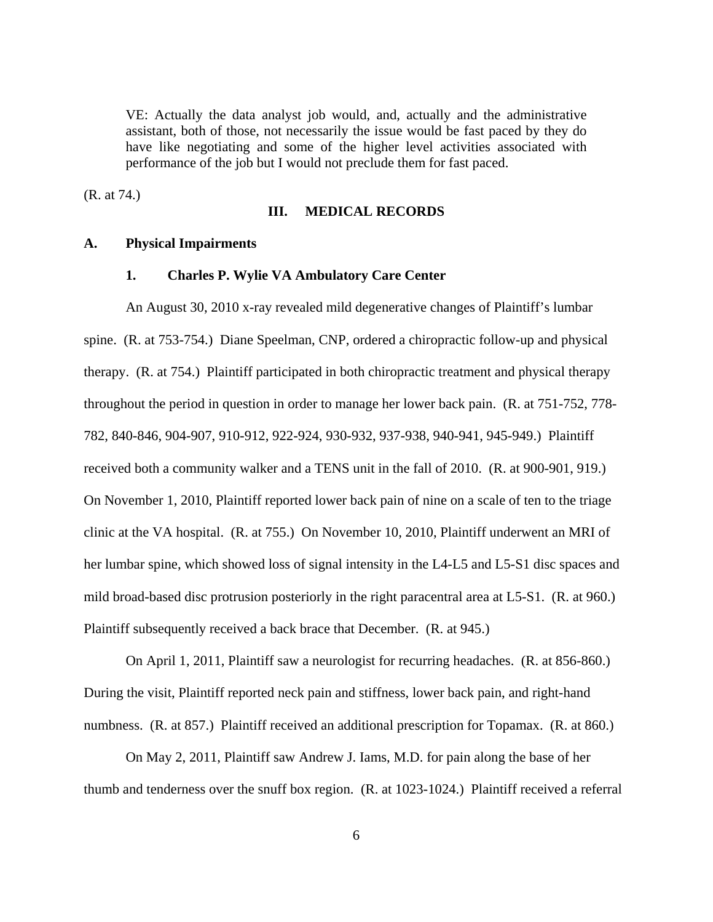VE: Actually the data analyst job would, and, actually and the administrative assistant, both of those, not necessarily the issue would be fast paced by they do have like negotiating and some of the higher level activities associated with performance of the job but I would not preclude them for fast paced.

(R. at 74.)

#### **III. MEDICAL RECORDS**

#### **A. Physical Impairments**

#### **1. Charles P. Wylie VA Ambulatory Care Center**

 An August 30, 2010 x-ray revealed mild degenerative changes of Plaintiff's lumbar spine. (R. at 753-754.) Diane Speelman, CNP, ordered a chiropractic follow-up and physical therapy. (R. at 754.) Plaintiff participated in both chiropractic treatment and physical therapy throughout the period in question in order to manage her lower back pain. (R. at 751-752, 778- 782, 840-846, 904-907, 910-912, 922-924, 930-932, 937-938, 940-941, 945-949.) Plaintiff received both a community walker and a TENS unit in the fall of 2010. (R. at 900-901, 919.) On November 1, 2010, Plaintiff reported lower back pain of nine on a scale of ten to the triage clinic at the VA hospital. (R. at 755.) On November 10, 2010, Plaintiff underwent an MRI of her lumbar spine, which showed loss of signal intensity in the L4-L5 and L5-S1 disc spaces and mild broad-based disc protrusion posteriorly in the right paracentral area at L5-S1. (R. at 960.) Plaintiff subsequently received a back brace that December. (R. at 945.)

 On April 1, 2011, Plaintiff saw a neurologist for recurring headaches. (R. at 856-860.) During the visit, Plaintiff reported neck pain and stiffness, lower back pain, and right-hand numbness. (R. at 857.) Plaintiff received an additional prescription for Topamax. (R. at 860.)

 On May 2, 2011, Plaintiff saw Andrew J. Iams, M.D. for pain along the base of her thumb and tenderness over the snuff box region. (R. at 1023-1024.) Plaintiff received a referral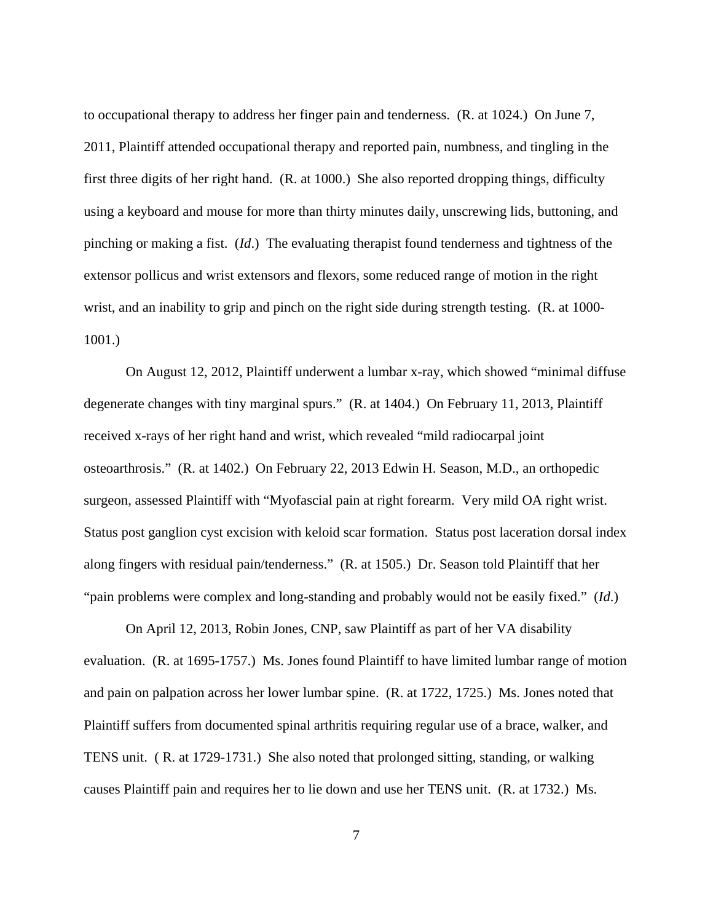to occupational therapy to address her finger pain and tenderness. (R. at 1024.) On June 7, 2011, Plaintiff attended occupational therapy and reported pain, numbness, and tingling in the first three digits of her right hand. (R. at 1000.) She also reported dropping things, difficulty using a keyboard and mouse for more than thirty minutes daily, unscrewing lids, buttoning, and pinching or making a fist. (*Id*.) The evaluating therapist found tenderness and tightness of the extensor pollicus and wrist extensors and flexors, some reduced range of motion in the right wrist, and an inability to grip and pinch on the right side during strength testing. (R. at 1000-1001.)

 On August 12, 2012, Plaintiff underwent a lumbar x-ray, which showed "minimal diffuse degenerate changes with tiny marginal spurs." (R. at 1404.) On February 11, 2013, Plaintiff received x-rays of her right hand and wrist, which revealed "mild radiocarpal joint osteoarthrosis." (R. at 1402.) On February 22, 2013 Edwin H. Season, M.D., an orthopedic surgeon, assessed Plaintiff with "Myofascial pain at right forearm. Very mild OA right wrist. Status post ganglion cyst excision with keloid scar formation. Status post laceration dorsal index along fingers with residual pain/tenderness." (R. at 1505.) Dr. Season told Plaintiff that her "pain problems were complex and long-standing and probably would not be easily fixed." (*Id*.)

 On April 12, 2013, Robin Jones, CNP, saw Plaintiff as part of her VA disability evaluation. (R. at 1695-1757.) Ms. Jones found Plaintiff to have limited lumbar range of motion and pain on palpation across her lower lumbar spine. (R. at 1722, 1725.) Ms. Jones noted that Plaintiff suffers from documented spinal arthritis requiring regular use of a brace, walker, and TENS unit. ( R. at 1729-1731.) She also noted that prolonged sitting, standing, or walking causes Plaintiff pain and requires her to lie down and use her TENS unit. (R. at 1732.) Ms.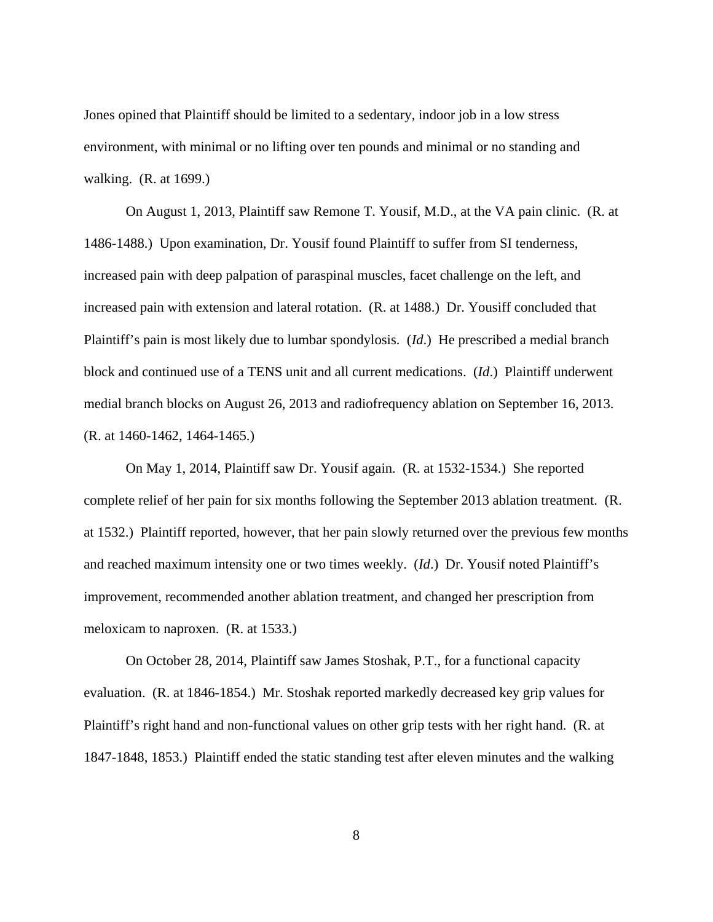Jones opined that Plaintiff should be limited to a sedentary, indoor job in a low stress environment, with minimal or no lifting over ten pounds and minimal or no standing and walking. (R. at 1699.)

 On August 1, 2013, Plaintiff saw Remone T. Yousif, M.D., at the VA pain clinic. (R. at 1486-1488.) Upon examination, Dr. Yousif found Plaintiff to suffer from SI tenderness, increased pain with deep palpation of paraspinal muscles, facet challenge on the left, and increased pain with extension and lateral rotation. (R. at 1488.) Dr. Yousiff concluded that Plaintiff's pain is most likely due to lumbar spondylosis. (*Id*.) He prescribed a medial branch block and continued use of a TENS unit and all current medications. (*Id*.) Plaintiff underwent medial branch blocks on August 26, 2013 and radiofrequency ablation on September 16, 2013. (R. at 1460-1462, 1464-1465.)

 On May 1, 2014, Plaintiff saw Dr. Yousif again. (R. at 1532-1534.) She reported complete relief of her pain for six months following the September 2013 ablation treatment. (R. at 1532.) Plaintiff reported, however, that her pain slowly returned over the previous few months and reached maximum intensity one or two times weekly. (*Id*.) Dr. Yousif noted Plaintiff's improvement, recommended another ablation treatment, and changed her prescription from meloxicam to naproxen. (R. at 1533.)

 On October 28, 2014, Plaintiff saw James Stoshak, P.T., for a functional capacity evaluation. (R. at 1846-1854.) Mr. Stoshak reported markedly decreased key grip values for Plaintiff's right hand and non-functional values on other grip tests with her right hand. (R. at 1847-1848, 1853.) Plaintiff ended the static standing test after eleven minutes and the walking

8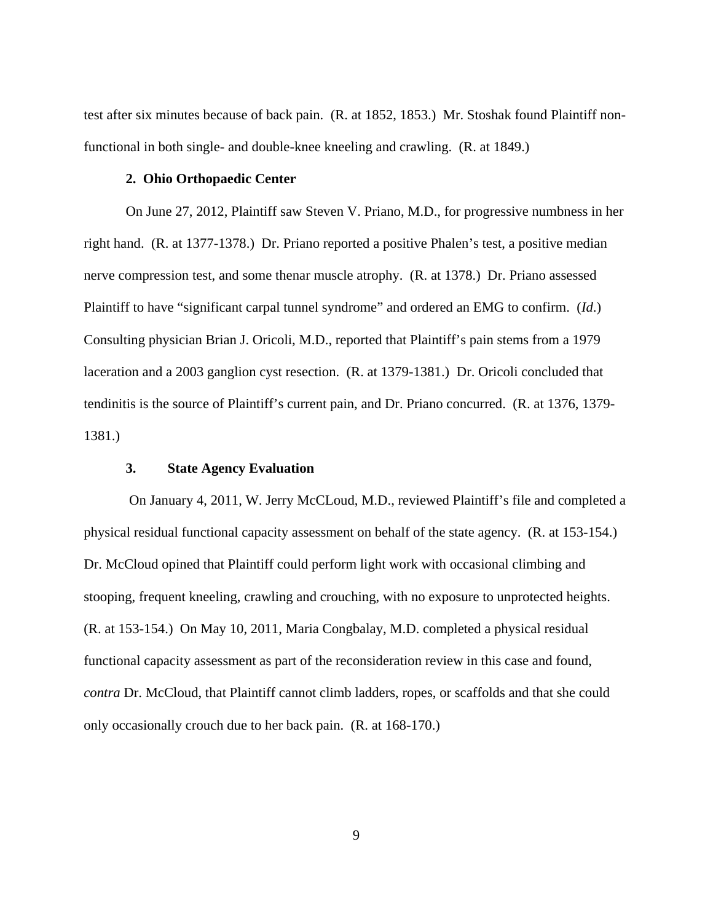test after six minutes because of back pain. (R. at 1852, 1853.) Mr. Stoshak found Plaintiff nonfunctional in both single- and double-knee kneeling and crawling. (R. at 1849.)

## **2. Ohio Orthopaedic Center**

 On June 27, 2012, Plaintiff saw Steven V. Priano, M.D., for progressive numbness in her right hand. (R. at 1377-1378.) Dr. Priano reported a positive Phalen's test, a positive median nerve compression test, and some thenar muscle atrophy. (R. at 1378.) Dr. Priano assessed Plaintiff to have "significant carpal tunnel syndrome" and ordered an EMG to confirm. (*Id*.) Consulting physician Brian J. Oricoli, M.D., reported that Plaintiff's pain stems from a 1979 laceration and a 2003 ganglion cyst resection. (R. at 1379-1381.) Dr. Oricoli concluded that tendinitis is the source of Plaintiff's current pain, and Dr. Priano concurred. (R. at 1376, 1379- 1381.)

# **3. State Agency Evaluation**

 On January 4, 2011, W. Jerry McCLoud, M.D., reviewed Plaintiff's file and completed a physical residual functional capacity assessment on behalf of the state agency. (R. at 153-154.) Dr. McCloud opined that Plaintiff could perform light work with occasional climbing and stooping, frequent kneeling, crawling and crouching, with no exposure to unprotected heights. (R. at 153-154.) On May 10, 2011, Maria Congbalay, M.D. completed a physical residual functional capacity assessment as part of the reconsideration review in this case and found, *contra* Dr. McCloud, that Plaintiff cannot climb ladders, ropes, or scaffolds and that she could only occasionally crouch due to her back pain. (R. at 168-170.)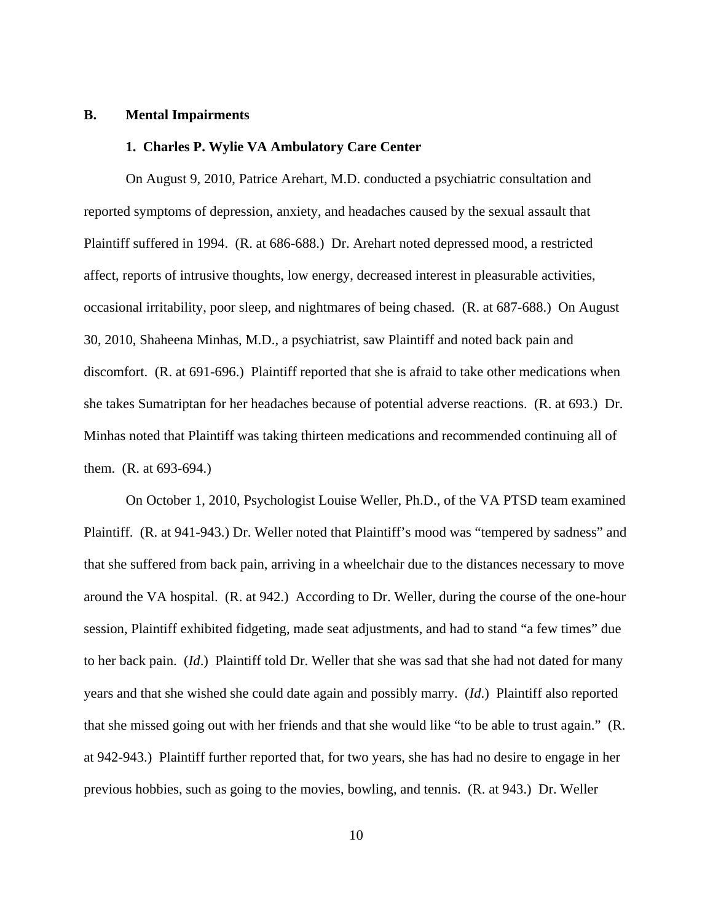### **B. Mental Impairments**

# **1. Charles P. Wylie VA Ambulatory Care Center**

 On August 9, 2010, Patrice Arehart, M.D. conducted a psychiatric consultation and reported symptoms of depression, anxiety, and headaches caused by the sexual assault that Plaintiff suffered in 1994. (R. at 686-688.) Dr. Arehart noted depressed mood, a restricted affect, reports of intrusive thoughts, low energy, decreased interest in pleasurable activities, occasional irritability, poor sleep, and nightmares of being chased. (R. at 687-688.) On August 30, 2010, Shaheena Minhas, M.D., a psychiatrist, saw Plaintiff and noted back pain and discomfort. (R. at 691-696.) Plaintiff reported that she is afraid to take other medications when she takes Sumatriptan for her headaches because of potential adverse reactions. (R. at 693.) Dr. Minhas noted that Plaintiff was taking thirteen medications and recommended continuing all of them. (R. at 693-694.)

 On October 1, 2010, Psychologist Louise Weller, Ph.D., of the VA PTSD team examined Plaintiff. (R. at 941-943.) Dr. Weller noted that Plaintiff's mood was "tempered by sadness" and that she suffered from back pain, arriving in a wheelchair due to the distances necessary to move around the VA hospital. (R. at 942.) According to Dr. Weller, during the course of the one-hour session, Plaintiff exhibited fidgeting, made seat adjustments, and had to stand "a few times" due to her back pain. (*Id*.) Plaintiff told Dr. Weller that she was sad that she had not dated for many years and that she wished she could date again and possibly marry. (*Id*.) Plaintiff also reported that she missed going out with her friends and that she would like "to be able to trust again." (R. at 942-943.) Plaintiff further reported that, for two years, she has had no desire to engage in her previous hobbies, such as going to the movies, bowling, and tennis. (R. at 943.) Dr. Weller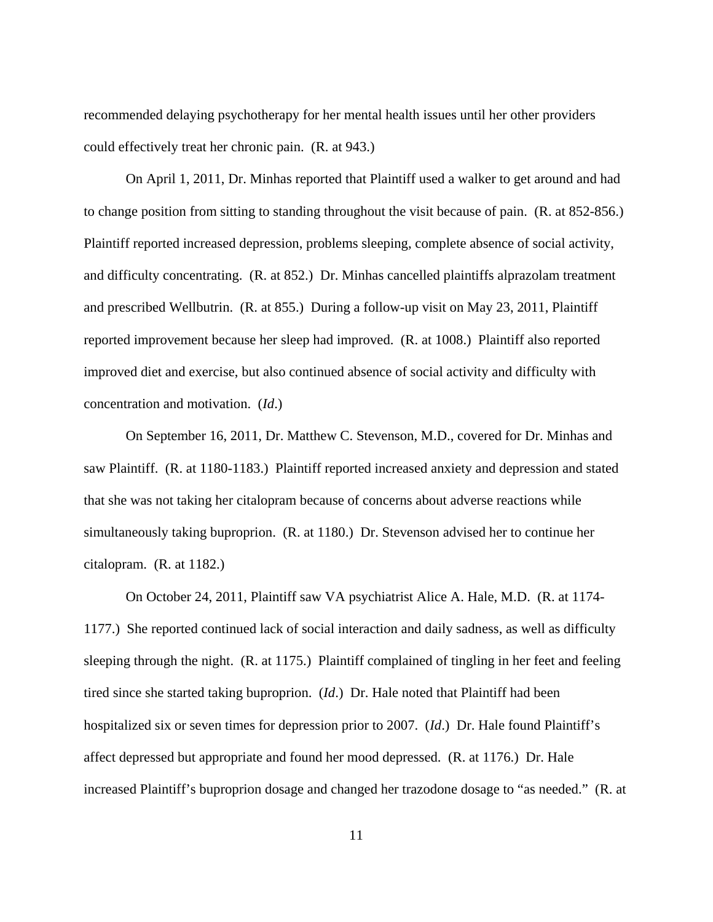recommended delaying psychotherapy for her mental health issues until her other providers could effectively treat her chronic pain. (R. at 943.)

 On April 1, 2011, Dr. Minhas reported that Plaintiff used a walker to get around and had to change position from sitting to standing throughout the visit because of pain. (R. at 852-856.) Plaintiff reported increased depression, problems sleeping, complete absence of social activity, and difficulty concentrating. (R. at 852.) Dr. Minhas cancelled plaintiffs alprazolam treatment and prescribed Wellbutrin. (R. at 855.) During a follow-up visit on May 23, 2011, Plaintiff reported improvement because her sleep had improved. (R. at 1008.) Plaintiff also reported improved diet and exercise, but also continued absence of social activity and difficulty with concentration and motivation. (*Id*.)

 On September 16, 2011, Dr. Matthew C. Stevenson, M.D., covered for Dr. Minhas and saw Plaintiff. (R. at 1180-1183.) Plaintiff reported increased anxiety and depression and stated that she was not taking her citalopram because of concerns about adverse reactions while simultaneously taking buproprion. (R. at 1180.) Dr. Stevenson advised her to continue her citalopram. (R. at 1182.)

 On October 24, 2011, Plaintiff saw VA psychiatrist Alice A. Hale, M.D. (R. at 1174- 1177.) She reported continued lack of social interaction and daily sadness, as well as difficulty sleeping through the night. (R. at 1175.) Plaintiff complained of tingling in her feet and feeling tired since she started taking buproprion. (*Id*.) Dr. Hale noted that Plaintiff had been hospitalized six or seven times for depression prior to 2007. (*Id*.) Dr. Hale found Plaintiff's affect depressed but appropriate and found her mood depressed. (R. at 1176.) Dr. Hale increased Plaintiff's buproprion dosage and changed her trazodone dosage to "as needed." (R. at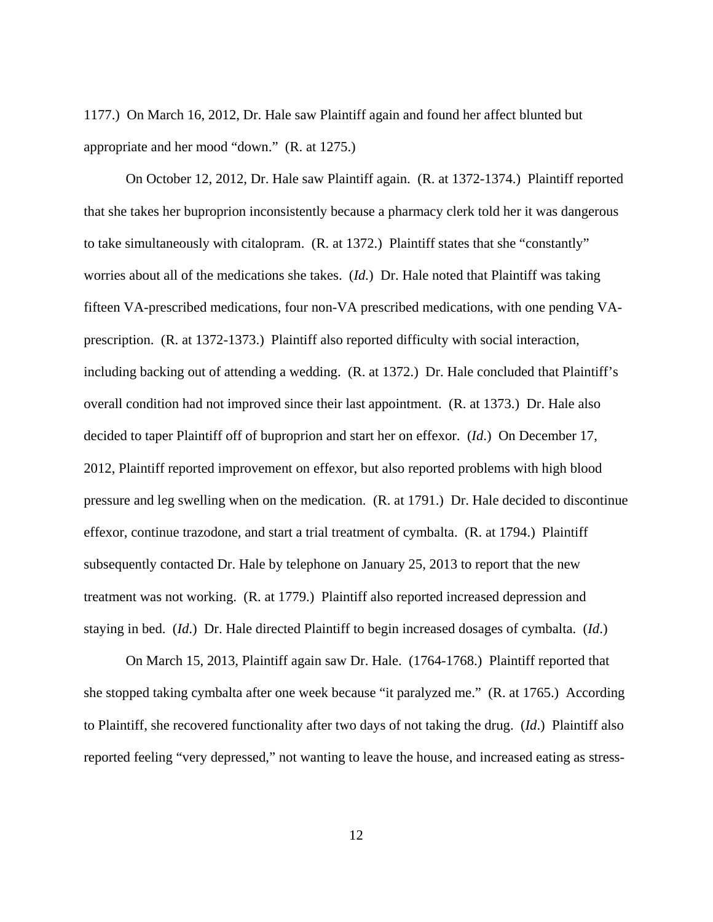1177.) On March 16, 2012, Dr. Hale saw Plaintiff again and found her affect blunted but appropriate and her mood "down." (R. at 1275.)

 On October 12, 2012, Dr. Hale saw Plaintiff again. (R. at 1372-1374.) Plaintiff reported that she takes her buproprion inconsistently because a pharmacy clerk told her it was dangerous to take simultaneously with citalopram. (R. at 1372.) Plaintiff states that she "constantly" worries about all of the medications she takes. (*Id.*) Dr. Hale noted that Plaintiff was taking fifteen VA-prescribed medications, four non-VA prescribed medications, with one pending VAprescription. (R. at 1372-1373.) Plaintiff also reported difficulty with social interaction, including backing out of attending a wedding. (R. at 1372.) Dr. Hale concluded that Plaintiff's overall condition had not improved since their last appointment. (R. at 1373.) Dr. Hale also decided to taper Plaintiff off of buproprion and start her on effexor. (*Id*.) On December 17, 2012, Plaintiff reported improvement on effexor, but also reported problems with high blood pressure and leg swelling when on the medication. (R. at 1791.) Dr. Hale decided to discontinue effexor, continue trazodone, and start a trial treatment of cymbalta. (R. at 1794.) Plaintiff subsequently contacted Dr. Hale by telephone on January 25, 2013 to report that the new treatment was not working. (R. at 1779.) Plaintiff also reported increased depression and staying in bed. (*Id*.) Dr. Hale directed Plaintiff to begin increased dosages of cymbalta. (*Id*.)

 On March 15, 2013, Plaintiff again saw Dr. Hale. (1764-1768.) Plaintiff reported that she stopped taking cymbalta after one week because "it paralyzed me." (R. at 1765.) According to Plaintiff, she recovered functionality after two days of not taking the drug. (*Id*.) Plaintiff also reported feeling "very depressed," not wanting to leave the house, and increased eating as stress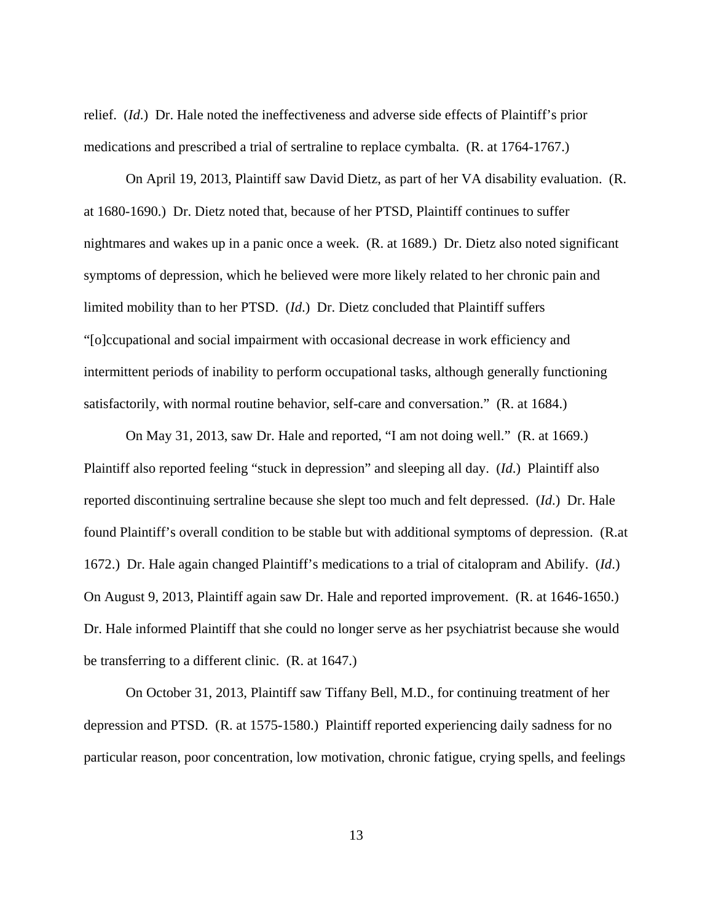relief. (*Id*.) Dr. Hale noted the ineffectiveness and adverse side effects of Plaintiff's prior medications and prescribed a trial of sertraline to replace cymbalta. (R. at 1764-1767.)

 On April 19, 2013, Plaintiff saw David Dietz, as part of her VA disability evaluation. (R. at 1680-1690.) Dr. Dietz noted that, because of her PTSD, Plaintiff continues to suffer nightmares and wakes up in a panic once a week. (R. at 1689.) Dr. Dietz also noted significant symptoms of depression, which he believed were more likely related to her chronic pain and limited mobility than to her PTSD. (*Id*.) Dr. Dietz concluded that Plaintiff suffers "[o]ccupational and social impairment with occasional decrease in work efficiency and intermittent periods of inability to perform occupational tasks, although generally functioning satisfactorily, with normal routine behavior, self-care and conversation." (R. at 1684.)

 On May 31, 2013, saw Dr. Hale and reported, "I am not doing well." (R. at 1669.) Plaintiff also reported feeling "stuck in depression" and sleeping all day. (*Id*.) Plaintiff also reported discontinuing sertraline because she slept too much and felt depressed. (*Id*.) Dr. Hale found Plaintiff's overall condition to be stable but with additional symptoms of depression. (R.at 1672.) Dr. Hale again changed Plaintiff's medications to a trial of citalopram and Abilify. (*Id*.) On August 9, 2013, Plaintiff again saw Dr. Hale and reported improvement. (R. at 1646-1650.) Dr. Hale informed Plaintiff that she could no longer serve as her psychiatrist because she would be transferring to a different clinic. (R. at 1647.)

 On October 31, 2013, Plaintiff saw Tiffany Bell, M.D., for continuing treatment of her depression and PTSD. (R. at 1575-1580.) Plaintiff reported experiencing daily sadness for no particular reason, poor concentration, low motivation, chronic fatigue, crying spells, and feelings

13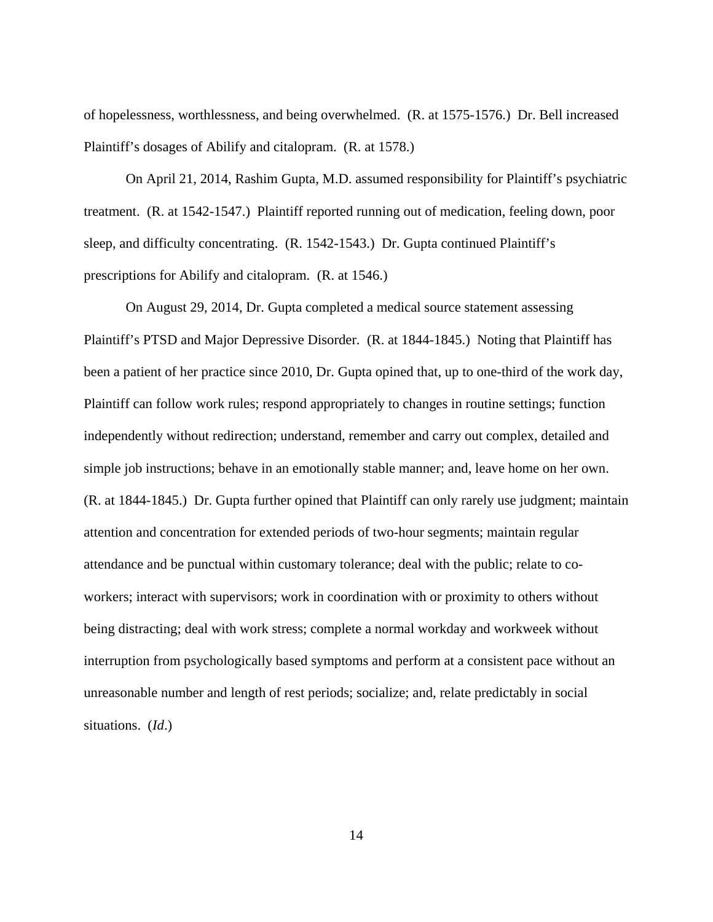of hopelessness, worthlessness, and being overwhelmed. (R. at 1575-1576.) Dr. Bell increased Plaintiff's dosages of Abilify and citalopram. (R. at 1578.)

 On April 21, 2014, Rashim Gupta, M.D. assumed responsibility for Plaintiff's psychiatric treatment. (R. at 1542-1547.) Plaintiff reported running out of medication, feeling down, poor sleep, and difficulty concentrating. (R. 1542-1543.) Dr. Gupta continued Plaintiff's prescriptions for Abilify and citalopram. (R. at 1546.)

 On August 29, 2014, Dr. Gupta completed a medical source statement assessing Plaintiff's PTSD and Major Depressive Disorder. (R. at 1844-1845.) Noting that Plaintiff has been a patient of her practice since 2010, Dr. Gupta opined that, up to one-third of the work day, Plaintiff can follow work rules; respond appropriately to changes in routine settings; function independently without redirection; understand, remember and carry out complex, detailed and simple job instructions; behave in an emotionally stable manner; and, leave home on her own. (R. at 1844-1845.) Dr. Gupta further opined that Plaintiff can only rarely use judgment; maintain attention and concentration for extended periods of two-hour segments; maintain regular attendance and be punctual within customary tolerance; deal with the public; relate to coworkers; interact with supervisors; work in coordination with or proximity to others without being distracting; deal with work stress; complete a normal workday and workweek without interruption from psychologically based symptoms and perform at a consistent pace without an unreasonable number and length of rest periods; socialize; and, relate predictably in social situations. (*Id*.)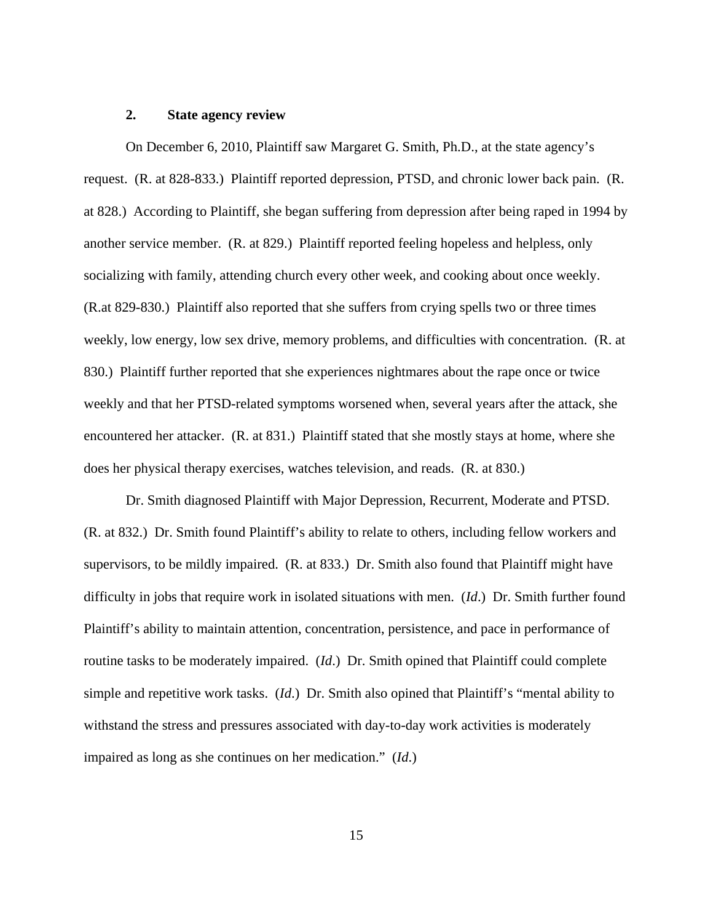### **2. State agency review**

 On December 6, 2010, Plaintiff saw Margaret G. Smith, Ph.D., at the state agency's request. (R. at 828-833.) Plaintiff reported depression, PTSD, and chronic lower back pain. (R. at 828.) According to Plaintiff, she began suffering from depression after being raped in 1994 by another service member. (R. at 829.) Plaintiff reported feeling hopeless and helpless, only socializing with family, attending church every other week, and cooking about once weekly. (R.at 829-830.) Plaintiff also reported that she suffers from crying spells two or three times weekly, low energy, low sex drive, memory problems, and difficulties with concentration. (R. at 830.) Plaintiff further reported that she experiences nightmares about the rape once or twice weekly and that her PTSD-related symptoms worsened when, several years after the attack, she encountered her attacker. (R. at 831.) Plaintiff stated that she mostly stays at home, where she does her physical therapy exercises, watches television, and reads. (R. at 830.)

 Dr. Smith diagnosed Plaintiff with Major Depression, Recurrent, Moderate and PTSD. (R. at 832.) Dr. Smith found Plaintiff's ability to relate to others, including fellow workers and supervisors, to be mildly impaired. (R. at 833.) Dr. Smith also found that Plaintiff might have difficulty in jobs that require work in isolated situations with men. (*Id*.) Dr. Smith further found Plaintiff's ability to maintain attention, concentration, persistence, and pace in performance of routine tasks to be moderately impaired. (*Id*.) Dr. Smith opined that Plaintiff could complete simple and repetitive work tasks. (*Id*.) Dr. Smith also opined that Plaintiff's "mental ability to withstand the stress and pressures associated with day-to-day work activities is moderately impaired as long as she continues on her medication." (*Id*.)

15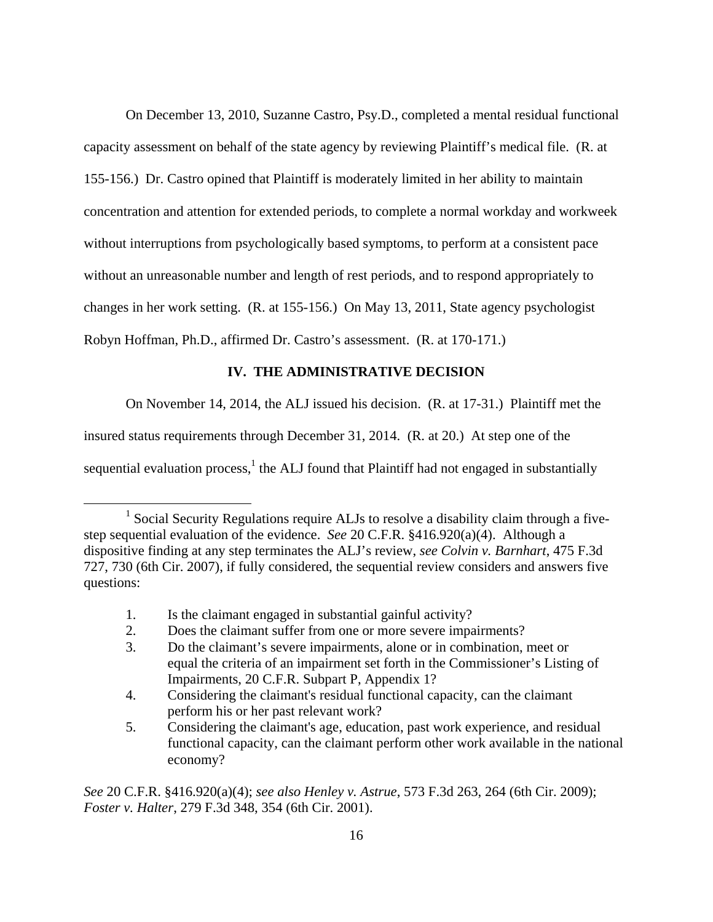On December 13, 2010, Suzanne Castro, Psy.D., completed a mental residual functional capacity assessment on behalf of the state agency by reviewing Plaintiff's medical file. (R. at 155-156.) Dr. Castro opined that Plaintiff is moderately limited in her ability to maintain concentration and attention for extended periods, to complete a normal workday and workweek without interruptions from psychologically based symptoms, to perform at a consistent pace without an unreasonable number and length of rest periods, and to respond appropriately to changes in her work setting. (R. at 155-156.) On May 13, 2011, State agency psychologist Robyn Hoffman, Ph.D., affirmed Dr. Castro's assessment. (R. at 170-171.)

# **IV. THE ADMINISTRATIVE DECISION**

On November 14, 2014, the ALJ issued his decision. (R. at 17-31.) Plaintiff met the

insured status requirements through December 31, 2014. (R. at 20.) At step one of the

sequential evaluation process,  $1$  the ALJ found that Plaintiff had not engaged in substantially

 $\overline{a}$ 

<sup>&</sup>lt;sup>1</sup> Social Security Regulations require ALJs to resolve a disability claim through a fivestep sequential evaluation of the evidence. *See* 20 C.F.R. §416.920(a)(4). Although a dispositive finding at any step terminates the ALJ's review, *see Colvin v. Barnhart*, 475 F.3d 727, 730 (6th Cir. 2007), if fully considered, the sequential review considers and answers five questions:

 <sup>1.</sup> Is the claimant engaged in substantial gainful activity?

 <sup>2.</sup> Does the claimant suffer from one or more severe impairments?

 <sup>3.</sup> Do the claimant's severe impairments, alone or in combination, meet or equal the criteria of an impairment set forth in the Commissioner's Listing of Impairments, 20 C.F.R. Subpart P, Appendix 1?

 <sup>4.</sup> Considering the claimant's residual functional capacity, can the claimant perform his or her past relevant work?

 <sup>5.</sup> Considering the claimant's age, education, past work experience, and residual functional capacity, can the claimant perform other work available in the national economy?

*See* 20 C.F.R. §416.920(a)(4); *see also Henley v. Astrue*, 573 F.3d 263, 264 (6th Cir. 2009); *Foster v. Halter*, 279 F.3d 348, 354 (6th Cir. 2001).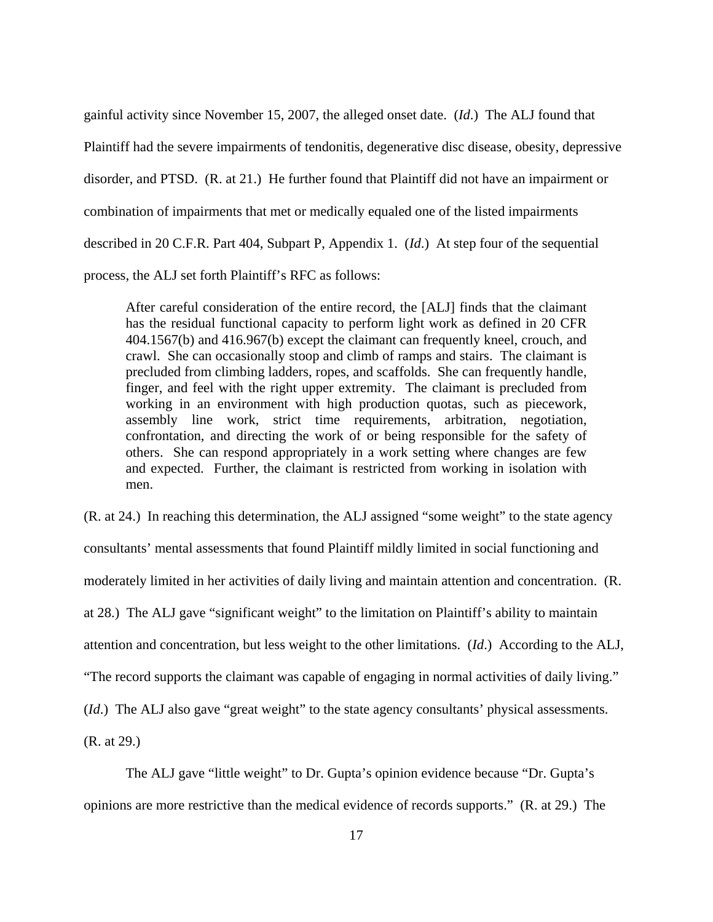gainful activity since November 15, 2007, the alleged onset date. (*Id*.) The ALJ found that Plaintiff had the severe impairments of tendonitis, degenerative disc disease, obesity, depressive disorder, and PTSD. (R. at 21.) He further found that Plaintiff did not have an impairment or combination of impairments that met or medically equaled one of the listed impairments described in 20 C.F.R. Part 404, Subpart P, Appendix 1. (*Id*.) At step four of the sequential process, the ALJ set forth Plaintiff's RFC as follows:

After careful consideration of the entire record, the [ALJ] finds that the claimant has the residual functional capacity to perform light work as defined in 20 CFR 404.1567(b) and 416.967(b) except the claimant can frequently kneel, crouch, and crawl. She can occasionally stoop and climb of ramps and stairs. The claimant is precluded from climbing ladders, ropes, and scaffolds. She can frequently handle, finger, and feel with the right upper extremity. The claimant is precluded from working in an environment with high production quotas, such as piecework, assembly line work, strict time requirements, arbitration, negotiation, confrontation, and directing the work of or being responsible for the safety of others. She can respond appropriately in a work setting where changes are few and expected. Further, the claimant is restricted from working in isolation with men.

(R. at 24.) In reaching this determination, the ALJ assigned "some weight" to the state agency consultants' mental assessments that found Plaintiff mildly limited in social functioning and moderately limited in her activities of daily living and maintain attention and concentration. (R. at 28.) The ALJ gave "significant weight" to the limitation on Plaintiff's ability to maintain attention and concentration, but less weight to the other limitations. (*Id*.) According to the ALJ, "The record supports the claimant was capable of engaging in normal activities of daily living." (*Id*.) The ALJ also gave "great weight" to the state agency consultants' physical assessments. (R. at 29.)

 The ALJ gave "little weight" to Dr. Gupta's opinion evidence because "Dr. Gupta's opinions are more restrictive than the medical evidence of records supports." (R. at 29.) The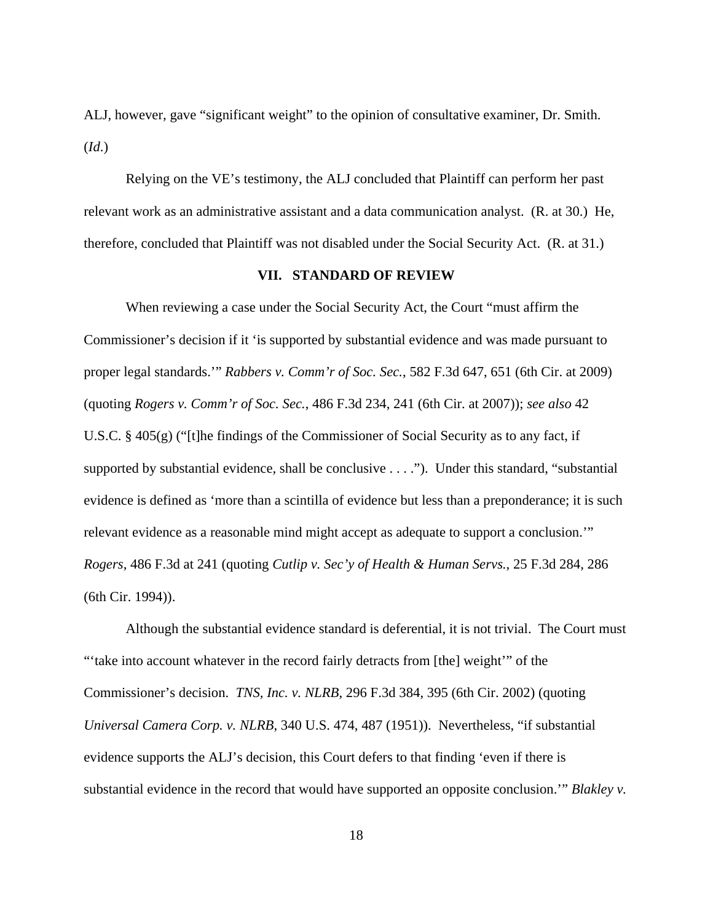ALJ, however, gave "significant weight" to the opinion of consultative examiner, Dr. Smith. (*Id*.)

 Relying on the VE's testimony, the ALJ concluded that Plaintiff can perform her past relevant work as an administrative assistant and a data communication analyst. (R. at 30.) He, therefore, concluded that Plaintiff was not disabled under the Social Security Act. (R. at 31.)

# **VII. STANDARD OF REVIEW**

When reviewing a case under the Social Security Act, the Court "must affirm the Commissioner's decision if it 'is supported by substantial evidence and was made pursuant to proper legal standards.'" *Rabbers v. Comm'r of Soc. Sec.*, 582 F.3d 647, 651 (6th Cir. at 2009) (quoting *Rogers v. Comm'r of Soc. Sec.*, 486 F.3d 234, 241 (6th Cir. at 2007)); *see also* 42 U.S.C. § 405(g) ("[t]he findings of the Commissioner of Social Security as to any fact, if supported by substantial evidence, shall be conclusive . . . ."). Under this standard, "substantial evidence is defined as 'more than a scintilla of evidence but less than a preponderance; it is such relevant evidence as a reasonable mind might accept as adequate to support a conclusion.'" *Rogers*, 486 F.3d at 241 (quoting *Cutlip v. Sec'y of Health & Human Servs.*, 25 F.3d 284, 286 (6th Cir. 1994)).

 Although the substantial evidence standard is deferential, it is not trivial. The Court must "'take into account whatever in the record fairly detracts from [the] weight'" of the Commissioner's decision. *TNS, Inc. v. NLRB*, 296 F.3d 384, 395 (6th Cir. 2002) (quoting *Universal Camera Corp. v. NLRB*, 340 U.S. 474, 487 (1951)). Nevertheless, "if substantial evidence supports the ALJ's decision, this Court defers to that finding 'even if there is substantial evidence in the record that would have supported an opposite conclusion.'" *Blakley v.*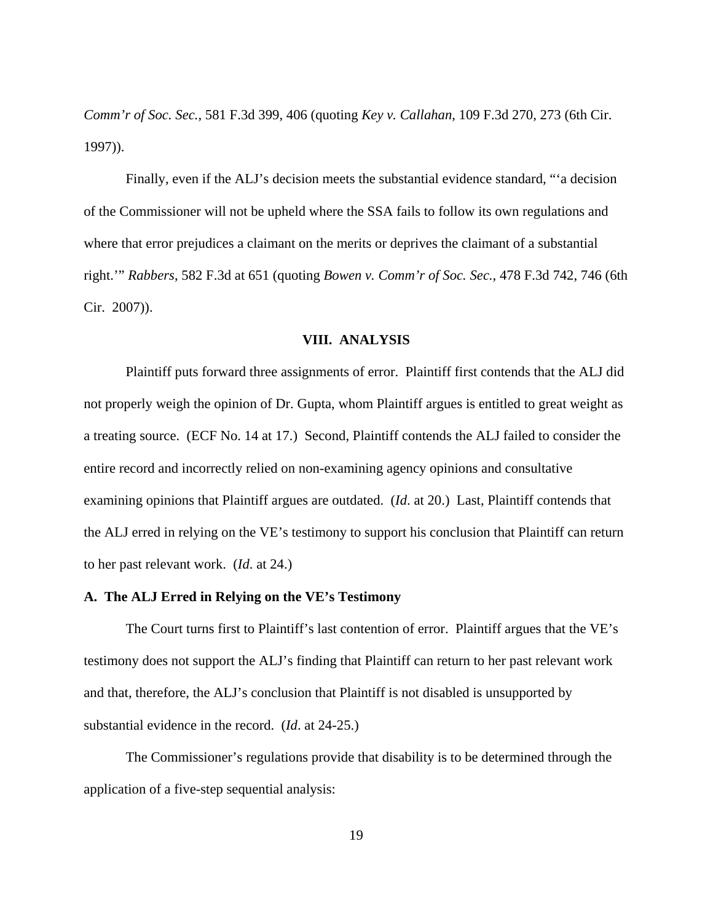*Comm'r of Soc. Sec.*, 581 F.3d 399, 406 (quoting *Key v. Callahan*, 109 F.3d 270, 273 (6th Cir. 1997)).

 Finally, even if the ALJ's decision meets the substantial evidence standard, "'a decision of the Commissioner will not be upheld where the SSA fails to follow its own regulations and where that error prejudices a claimant on the merits or deprives the claimant of a substantial right.'" *Rabbers*, 582 F.3d at 651 (quoting *Bowen v. Comm'r of Soc. Sec.*, 478 F.3d 742, 746 (6th Cir. 2007)).

# **VIII. ANALYSIS**

 Plaintiff puts forward three assignments of error. Plaintiff first contends that the ALJ did not properly weigh the opinion of Dr. Gupta, whom Plaintiff argues is entitled to great weight as a treating source. (ECF No. 14 at 17.) Second, Plaintiff contends the ALJ failed to consider the entire record and incorrectly relied on non-examining agency opinions and consultative examining opinions that Plaintiff argues are outdated. (*Id*. at 20.) Last, Plaintiff contends that the ALJ erred in relying on the VE's testimony to support his conclusion that Plaintiff can return to her past relevant work. (*Id*. at 24.)

### **A. The ALJ Erred in Relying on the VE's Testimony**

 The Court turns first to Plaintiff's last contention of error. Plaintiff argues that the VE's testimony does not support the ALJ's finding that Plaintiff can return to her past relevant work and that, therefore, the ALJ's conclusion that Plaintiff is not disabled is unsupported by substantial evidence in the record. (*Id*. at 24-25.)

 The Commissioner's regulations provide that disability is to be determined through the application of a five-step sequential analysis: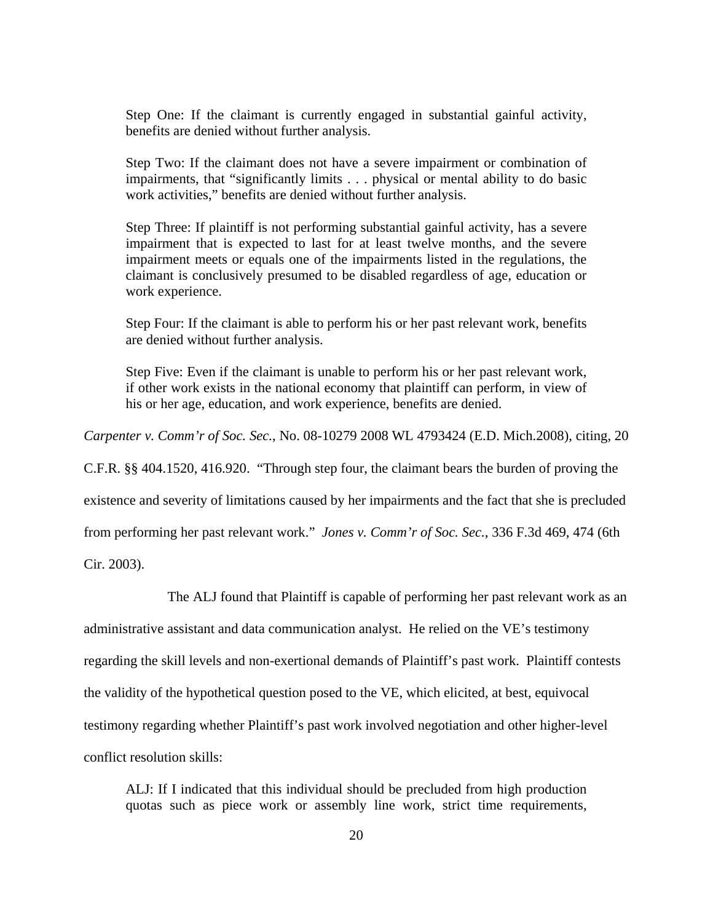Step One: If the claimant is currently engaged in substantial gainful activity, benefits are denied without further analysis.

Step Two: If the claimant does not have a severe impairment or combination of impairments, that "significantly limits . . . physical or mental ability to do basic work activities," benefits are denied without further analysis.

Step Three: If plaintiff is not performing substantial gainful activity, has a severe impairment that is expected to last for at least twelve months, and the severe impairment meets or equals one of the impairments listed in the regulations, the claimant is conclusively presumed to be disabled regardless of age, education or work experience.

Step Four: If the claimant is able to perform his or her past relevant work, benefits are denied without further analysis.

Step Five: Even if the claimant is unable to perform his or her past relevant work, if other work exists in the national economy that plaintiff can perform, in view of his or her age, education, and work experience, benefits are denied.

*Carpenter v. Comm'r of Soc. Sec.*, No. 08-10279 2008 WL 4793424 (E.D. Mich.2008), citing, 20

C.F.R. §§ 404.1520, 416.920. "Through step four, the claimant bears the burden of proving the

existence and severity of limitations caused by her impairments and the fact that she is precluded

from performing her past relevant work." *Jones v. Comm'r of Soc. Sec.*, 336 F.3d 469, 474 (6th

Cir. 2003).

The ALJ found that Plaintiff is capable of performing her past relevant work as an

administrative assistant and data communication analyst. He relied on the VE's testimony

regarding the skill levels and non-exertional demands of Plaintiff's past work. Plaintiff contests

the validity of the hypothetical question posed to the VE, which elicited, at best, equivocal

testimony regarding whether Plaintiff's past work involved negotiation and other higher-level

conflict resolution skills:

ALJ: If I indicated that this individual should be precluded from high production quotas such as piece work or assembly line work, strict time requirements,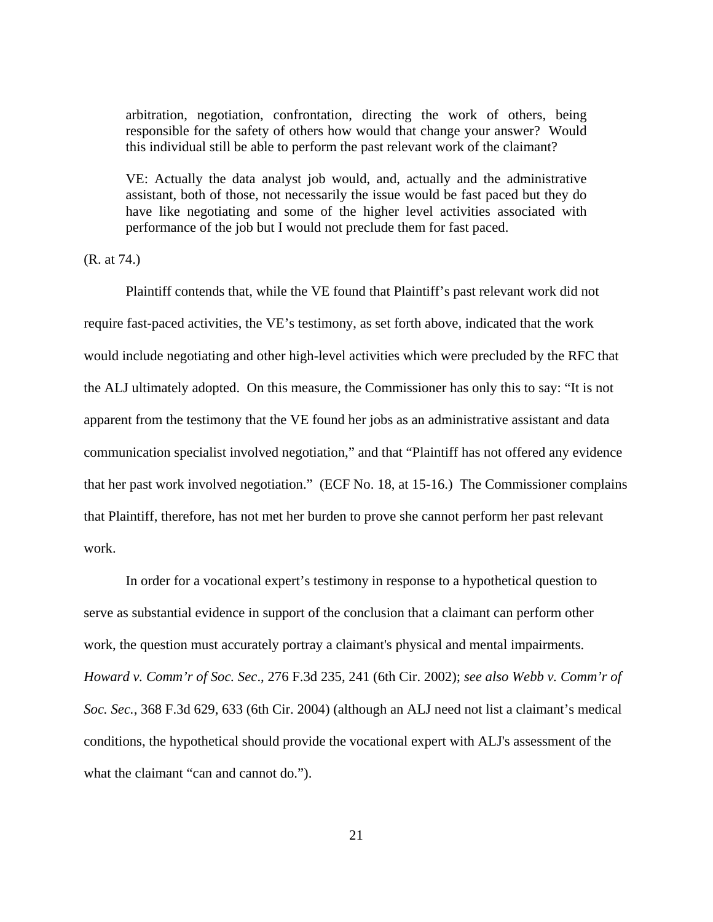arbitration, negotiation, confrontation, directing the work of others, being responsible for the safety of others how would that change your answer? Would this individual still be able to perform the past relevant work of the claimant?

VE: Actually the data analyst job would, and, actually and the administrative assistant, both of those, not necessarily the issue would be fast paced but they do have like negotiating and some of the higher level activities associated with performance of the job but I would not preclude them for fast paced.

(R. at 74.)

Plaintiff contends that, while the VE found that Plaintiff's past relevant work did not require fast-paced activities, the VE's testimony, as set forth above, indicated that the work would include negotiating and other high-level activities which were precluded by the RFC that the ALJ ultimately adopted. On this measure, the Commissioner has only this to say: "It is not apparent from the testimony that the VE found her jobs as an administrative assistant and data communication specialist involved negotiation," and that "Plaintiff has not offered any evidence that her past work involved negotiation." (ECF No. 18, at 15-16.) The Commissioner complains that Plaintiff, therefore, has not met her burden to prove she cannot perform her past relevant work.

In order for a vocational expert's testimony in response to a hypothetical question to serve as substantial evidence in support of the conclusion that a claimant can perform other work, the question must accurately portray a claimant's physical and mental impairments. *Howard v. Comm'r of Soc. Sec*., 276 F.3d 235, 241 (6th Cir. 2002); *see also Webb v. Comm'r of Soc. Sec.*, 368 F.3d 629, 633 (6th Cir. 2004) (although an ALJ need not list a claimant's medical conditions, the hypothetical should provide the vocational expert with ALJ's assessment of the what the claimant "can and cannot do.").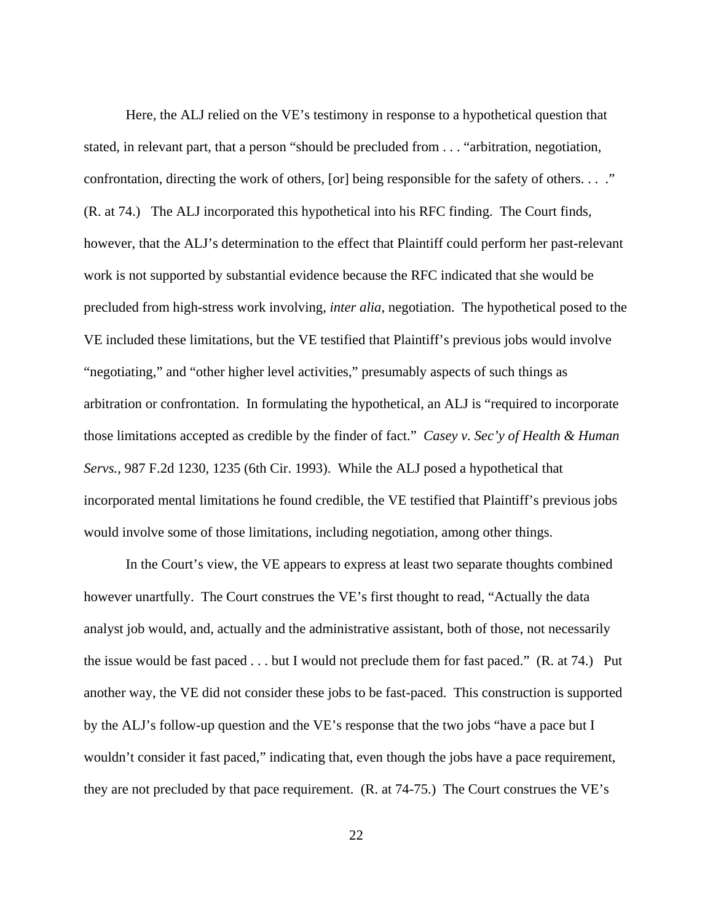Here, the ALJ relied on the VE's testimony in response to a hypothetical question that stated, in relevant part, that a person "should be precluded from . . . "arbitration, negotiation, confrontation, directing the work of others, [or] being responsible for the safety of others. . . ." (R. at 74.) The ALJ incorporated this hypothetical into his RFC finding. The Court finds, however, that the ALJ's determination to the effect that Plaintiff could perform her past-relevant work is not supported by substantial evidence because the RFC indicated that she would be precluded from high-stress work involving, *inter alia*, negotiation. The hypothetical posed to the VE included these limitations, but the VE testified that Plaintiff's previous jobs would involve "negotiating," and "other higher level activities," presumably aspects of such things as arbitration or confrontation. In formulating the hypothetical, an ALJ is "required to incorporate those limitations accepted as credible by the finder of fact." *Casey v. Sec'y of Health & Human Servs.*, 987 F.2d 1230, 1235 (6th Cir. 1993). While the ALJ posed a hypothetical that incorporated mental limitations he found credible, the VE testified that Plaintiff's previous jobs would involve some of those limitations, including negotiation, among other things.

 In the Court's view, the VE appears to express at least two separate thoughts combined however unartfully. The Court construes the VE's first thought to read, "Actually the data analyst job would, and, actually and the administrative assistant, both of those, not necessarily the issue would be fast paced . . . but I would not preclude them for fast paced." (R. at 74.) Put another way, the VE did not consider these jobs to be fast-paced. This construction is supported by the ALJ's follow-up question and the VE's response that the two jobs "have a pace but I wouldn't consider it fast paced," indicating that, even though the jobs have a pace requirement, they are not precluded by that pace requirement. (R. at 74-75.) The Court construes the VE's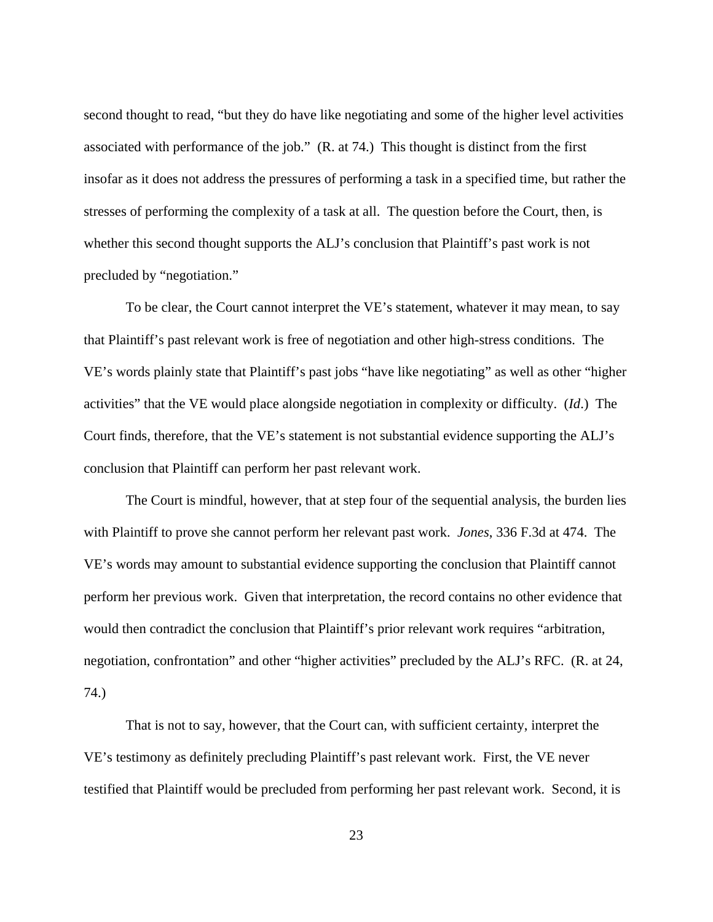second thought to read, "but they do have like negotiating and some of the higher level activities associated with performance of the job." (R. at 74.) This thought is distinct from the first insofar as it does not address the pressures of performing a task in a specified time, but rather the stresses of performing the complexity of a task at all. The question before the Court, then, is whether this second thought supports the ALJ's conclusion that Plaintiff's past work is not precluded by "negotiation."

 To be clear, the Court cannot interpret the VE's statement, whatever it may mean, to say that Plaintiff's past relevant work is free of negotiation and other high-stress conditions. The VE's words plainly state that Plaintiff's past jobs "have like negotiating" as well as other "higher activities" that the VE would place alongside negotiation in complexity or difficulty. (*Id*.) The Court finds, therefore, that the VE's statement is not substantial evidence supporting the ALJ's conclusion that Plaintiff can perform her past relevant work.

 The Court is mindful, however, that at step four of the sequential analysis, the burden lies with Plaintiff to prove she cannot perform her relevant past work. *Jones*, 336 F.3d at 474. The VE's words may amount to substantial evidence supporting the conclusion that Plaintiff cannot perform her previous work. Given that interpretation, the record contains no other evidence that would then contradict the conclusion that Plaintiff's prior relevant work requires "arbitration, negotiation, confrontation" and other "higher activities" precluded by the ALJ's RFC. (R. at 24, 74.)

 That is not to say, however, that the Court can, with sufficient certainty, interpret the VE's testimony as definitely precluding Plaintiff's past relevant work. First, the VE never testified that Plaintiff would be precluded from performing her past relevant work. Second, it is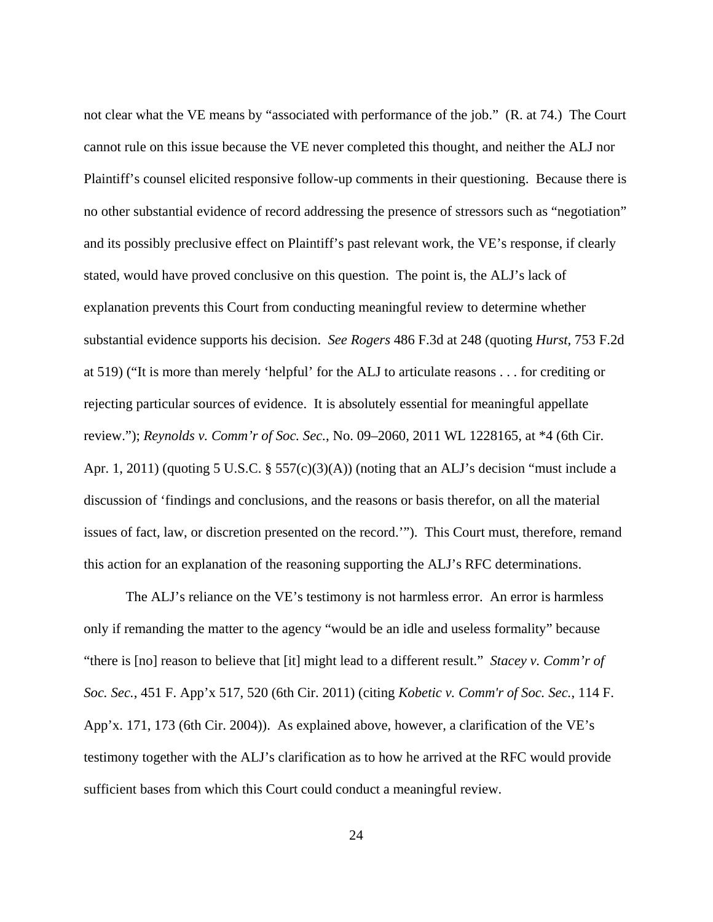not clear what the VE means by "associated with performance of the job." (R. at 74.) The Court cannot rule on this issue because the VE never completed this thought, and neither the ALJ nor Plaintiff's counsel elicited responsive follow-up comments in their questioning. Because there is no other substantial evidence of record addressing the presence of stressors such as "negotiation" and its possibly preclusive effect on Plaintiff's past relevant work, the VE's response, if clearly stated, would have proved conclusive on this question. The point is, the ALJ's lack of explanation prevents this Court from conducting meaningful review to determine whether substantial evidence supports his decision. *See Rogers* 486 F.3d at 248 (quoting *Hurst*, 753 F.2d at 519) ("It is more than merely 'helpful' for the ALJ to articulate reasons . . . for crediting or rejecting particular sources of evidence. It is absolutely essential for meaningful appellate review."); *Reynolds v. Comm'r of Soc. Sec.*, No. 09–2060, 2011 WL 1228165, at \*4 (6th Cir. Apr. 1, 2011) (quoting 5 U.S.C. § 557(c)(3)(A)) (noting that an ALJ's decision "must include a discussion of 'findings and conclusions, and the reasons or basis therefor, on all the material issues of fact, law, or discretion presented on the record.'"). This Court must, therefore, remand this action for an explanation of the reasoning supporting the ALJ's RFC determinations.

 The ALJ's reliance on the VE's testimony is not harmless error. An error is harmless only if remanding the matter to the agency "would be an idle and useless formality" because "there is [no] reason to believe that [it] might lead to a different result." *Stacey v. Comm'r of Soc. Sec.*, 451 F. App'x 517, 520 (6th Cir. 2011) (citing *Kobetic v. Comm'r of Soc. Sec.*, 114 F. App'x. 171, 173 (6th Cir. 2004)). As explained above, however, a clarification of the VE's testimony together with the ALJ's clarification as to how he arrived at the RFC would provide sufficient bases from which this Court could conduct a meaningful review.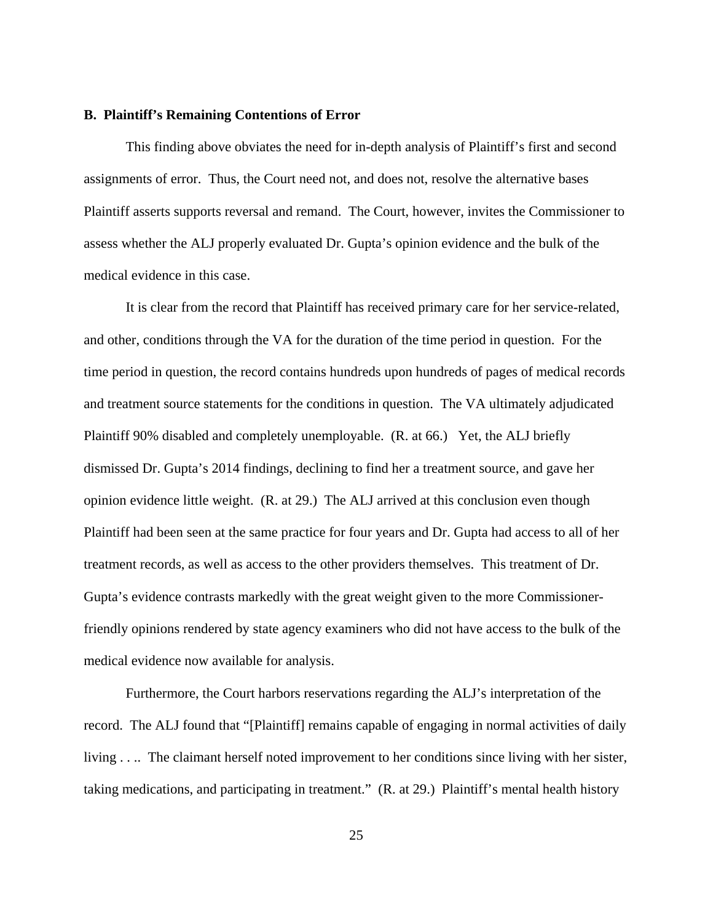### **B. Plaintiff's Remaining Contentions of Error**

 This finding above obviates the need for in-depth analysis of Plaintiff's first and second assignments of error. Thus, the Court need not, and does not, resolve the alternative bases Plaintiff asserts supports reversal and remand. The Court, however, invites the Commissioner to assess whether the ALJ properly evaluated Dr. Gupta's opinion evidence and the bulk of the medical evidence in this case.

 It is clear from the record that Plaintiff has received primary care for her service-related, and other, conditions through the VA for the duration of the time period in question. For the time period in question, the record contains hundreds upon hundreds of pages of medical records and treatment source statements for the conditions in question. The VA ultimately adjudicated Plaintiff 90% disabled and completely unemployable. (R. at 66.) Yet, the ALJ briefly dismissed Dr. Gupta's 2014 findings, declining to find her a treatment source, and gave her opinion evidence little weight. (R. at 29.) The ALJ arrived at this conclusion even though Plaintiff had been seen at the same practice for four years and Dr. Gupta had access to all of her treatment records, as well as access to the other providers themselves. This treatment of Dr. Gupta's evidence contrasts markedly with the great weight given to the more Commissionerfriendly opinions rendered by state agency examiners who did not have access to the bulk of the medical evidence now available for analysis.

Furthermore, the Court harbors reservations regarding the ALJ's interpretation of the record. The ALJ found that "[Plaintiff] remains capable of engaging in normal activities of daily living . . .. The claimant herself noted improvement to her conditions since living with her sister, taking medications, and participating in treatment." (R. at 29.) Plaintiff's mental health history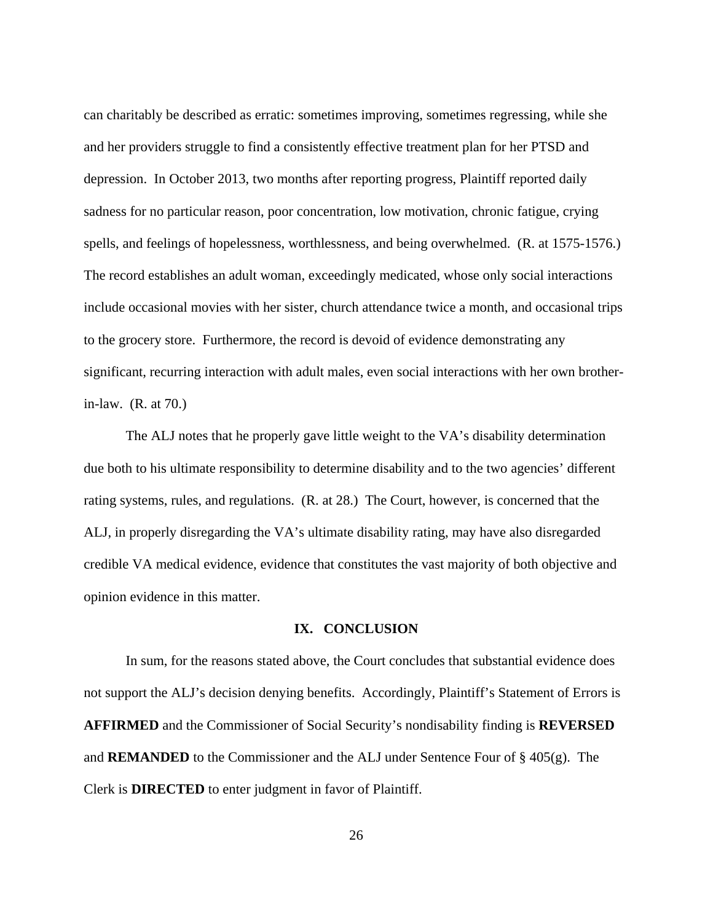can charitably be described as erratic: sometimes improving, sometimes regressing, while she and her providers struggle to find a consistently effective treatment plan for her PTSD and depression. In October 2013, two months after reporting progress, Plaintiff reported daily sadness for no particular reason, poor concentration, low motivation, chronic fatigue, crying spells, and feelings of hopelessness, worthlessness, and being overwhelmed. (R. at 1575-1576.) The record establishes an adult woman, exceedingly medicated, whose only social interactions include occasional movies with her sister, church attendance twice a month, and occasional trips to the grocery store. Furthermore, the record is devoid of evidence demonstrating any significant, recurring interaction with adult males, even social interactions with her own brotherin-law. (R. at 70.)

The ALJ notes that he properly gave little weight to the VA's disability determination due both to his ultimate responsibility to determine disability and to the two agencies' different rating systems, rules, and regulations. (R. at 28.) The Court, however, is concerned that the ALJ, in properly disregarding the VA's ultimate disability rating, may have also disregarded credible VA medical evidence, evidence that constitutes the vast majority of both objective and opinion evidence in this matter.

## **IX. CONCLUSION**

 In sum, for the reasons stated above, the Court concludes that substantial evidence does not support the ALJ's decision denying benefits. Accordingly, Plaintiff's Statement of Errors is **AFFIRMED** and the Commissioner of Social Security's nondisability finding is **REVERSED**  and **REMANDED** to the Commissioner and the ALJ under Sentence Four of § 405(g). The Clerk is **DIRECTED** to enter judgment in favor of Plaintiff.